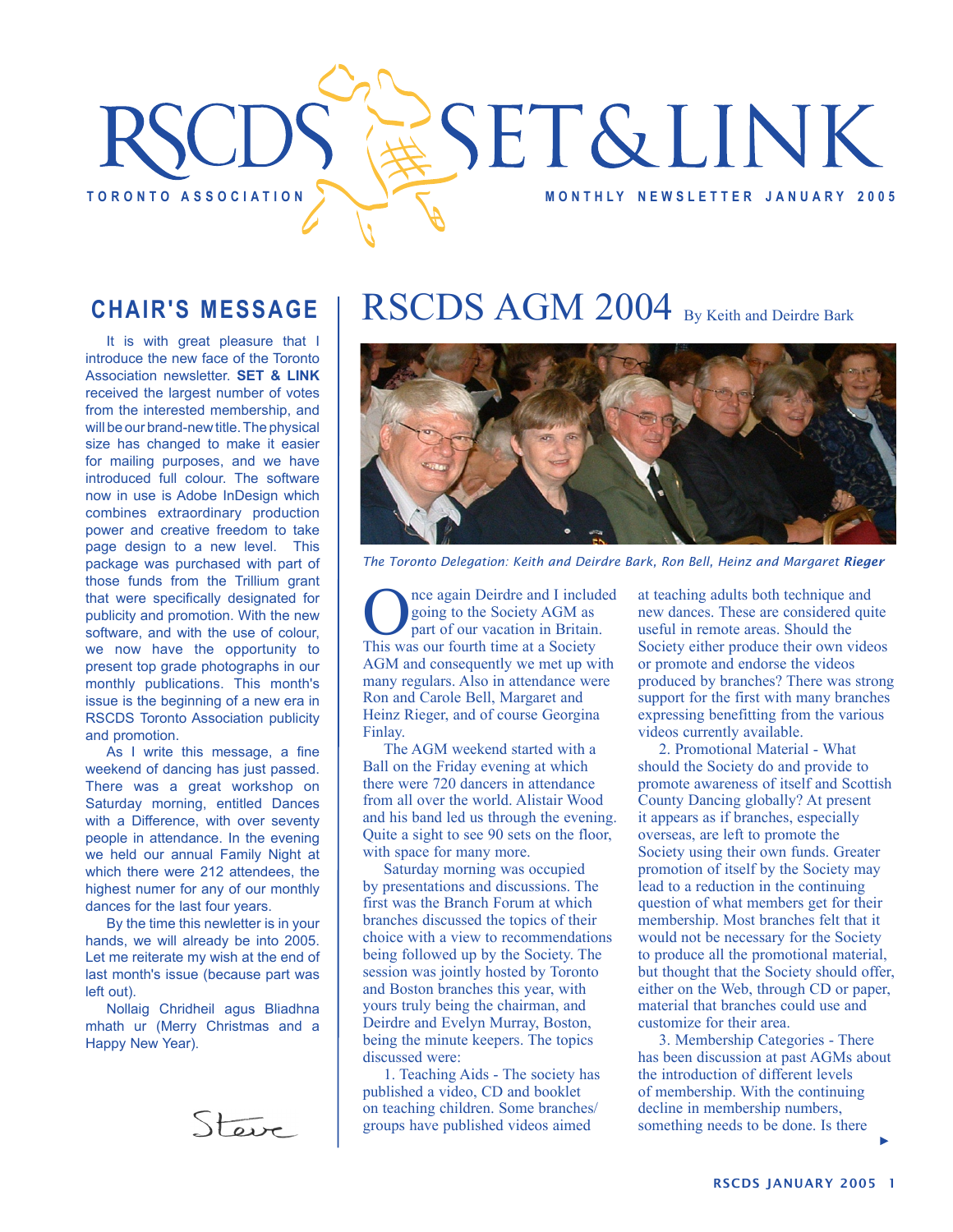

### **CHAIR'S MESSAGE**

It is with great pleasure that I introduce the new face of the Toronto Association newsletter. **SET & LINK** received the largest number of votes from the interested membership, and will be our brand-new title. The physical size has changed to make it easier for mailing purposes, and we have introduced full colour. The software now in use is Adobe InDesign which combines extraordinary production power and creative freedom to take page design to a new level. This package was purchased with part of those funds from the Trillium grant that were specifically designated for publicity and promotion. With the new software, and with the use of colour, we now have the opportunity to present top grade photographs in our monthly publications. This month's issue is the beginning of a new era in RSCDS Toronto Association publicity and promotion.

As I write this message, a fine weekend of dancing has just passed. There was a great workshop on Saturday morning, entitled Dances with a Difference, with over seventy people in attendance. In the evening we held our annual Family Night at which there were 212 attendees, the highest numer for any of our monthly dances for the last four years.

By the time this newletter is in your hands, we will already be into 2005. Let me reiterate my wish at the end of last month's issue (because part was left out).

Nollaig Chridheil agus Bliadhna mhath ur (Merry Christmas and a Happy New Year).



## RSCDS AGM 2004 By Keith and Deirdre Bark



*The Toronto Delegation: Keith and Deirdre Bark, Ron Bell, Heinz and Margaret Rieger* 

Once again Deirdre and I included<br>going to the Society AGM as<br>This was our fourth time at a Society going to the Society AGM as part of our vacation in Britain. AGM and consequently we met up with many regulars. Also in attendance were Ron and Carole Bell, Margaret and Heinz Rieger, and of course Georgina Finlay.

The AGM weekend started with a Ball on the Friday evening at which there were 720 dancers in attendance from all over the world. Alistair Wood and his band led us through the evening. Quite a sight to see 90 sets on the floor, with space for many more.

Saturday morning was occupied by presentations and discussions. The first was the Branch Forum at which branches discussed the topics of their choice with a view to recommendations being followed up by the Society. The session was jointly hosted by Toronto and Boston branches this year, with yours truly being the chairman, and Deirdre and Evelyn Murray, Boston, being the minute keepers. The topics discussed were:

1. Teaching Aids - The society has published a video, CD and booklet on teaching children. Some branches/ groups have published videos aimed

at teaching adults both technique and new dances. These are considered quite useful in remote areas. Should the Society either produce their own videos or promote and endorse the videos produced by branches? There was strong support for the first with many branches expressing benefitting from the various videos currently available.

2. Promotional Material - What should the Society do and provide to promote awareness of itself and Scottish County Dancing globally? At present it appears as if branches, especially overseas, are left to promote the Society using their own funds. Greater promotion of itself by the Society may lead to a reduction in the continuing question of what members get for their membership. Most branches felt that it would not be necessary for the Society to produce all the promotional material, but thought that the Society should offer, either on the Web, through CD or paper, material that branches could use and customize for their area.

3. Membership Categories - There has been discussion at past AGMs about the introduction of different levels of membership. With the continuing decline in membership numbers, something needs to be done. Is there

RSCDS JANUARY 2005 1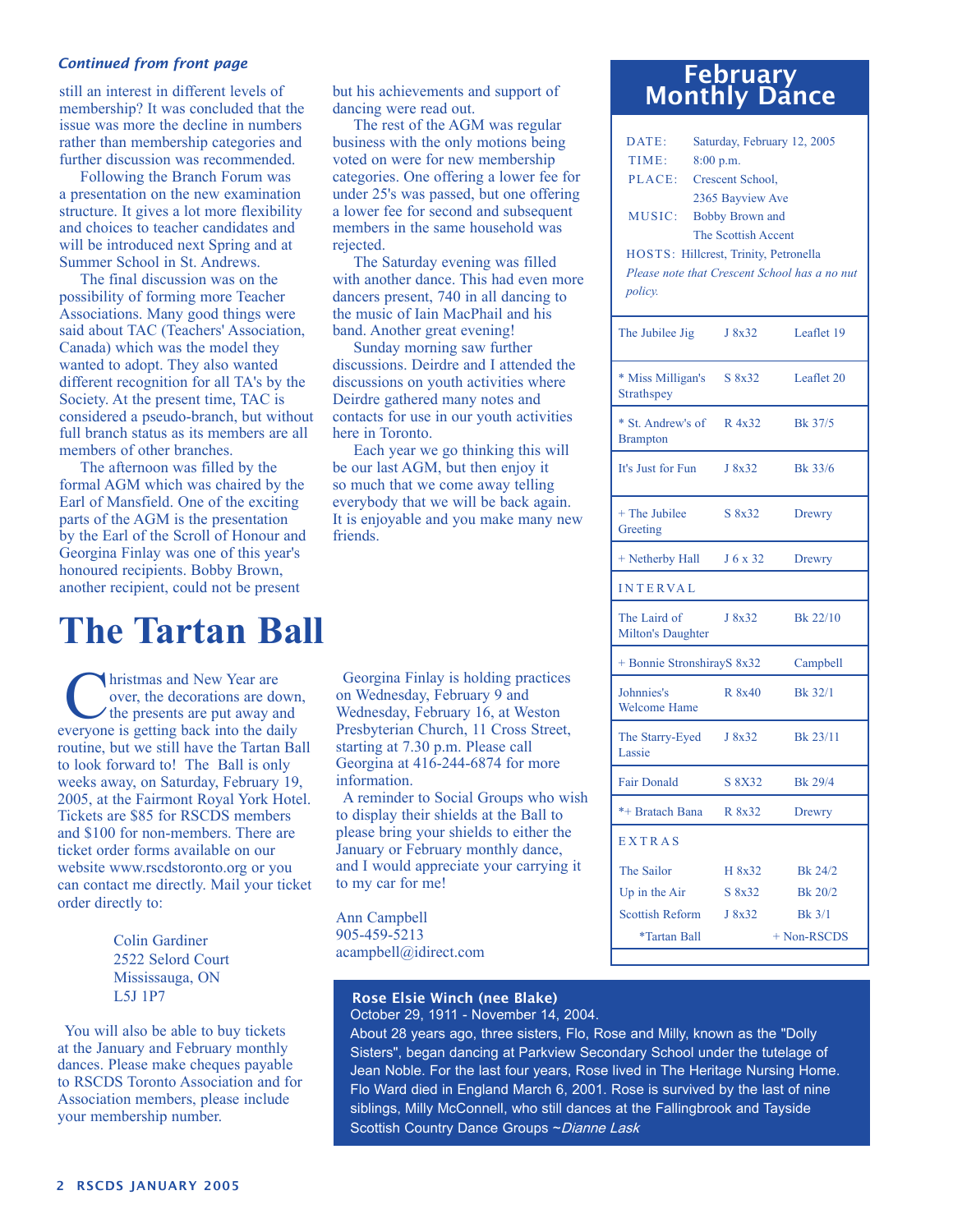#### *Continued from front page*

still an interest in different levels of membership? It was concluded that the issue was more the decline in numbers rather than membership categories and further discussion was recommended.

Following the Branch Forum was a presentation on the new examination structure. It gives a lot more flexibility and choices to teacher candidates and will be introduced next Spring and at Summer School in St. Andrews.

The final discussion was on the possibility of forming more Teacher Associations. Many good things were said about TAC (Teachers' Association, Canada) which was the model they wanted to adopt. They also wanted different recognition for all TA's by the Society. At the present time, TAC is considered a pseudo-branch, but without full branch status as its members are all members of other branches.

The afternoon was filled by the formal AGM which was chaired by the Earl of Mansfield. One of the exciting parts of the AGM is the presentation by the Earl of the Scroll of Honour and Georgina Finlay was one of this year's honoured recipients. Bobby Brown, another recipient, could not be present

### **The Tartan Ball**

Inference and New Year are over, the decorations are down, the presents are put away and everyone is getting back into the daily routine, but we still have the Tartan Ball to look forward to! The Ball is only weeks away, on Saturday, February 19, 2005, at the Fairmont Royal York Hotel. Tickets are \$85 for RSCDS members and \$100 for non-members. There are ticket order forms available on our website www.rscdstoronto.org or you can contact me directly. Mail your ticket order directly to:

> Colin Gardiner 2522 Selord Court Mississauga, ON L5J 1P7

You will also be able to buy tickets at the January and February monthly dances. Please make cheques payable to RSCDS Toronto Association and for Association members, please include your membership number.

but his achievements and support of dancing were read out.

The rest of the AGM was regular business with the only motions being voted on were for new membership categories. One offering a lower fee for under 25's was passed, but one offering a lower fee for second and subsequent members in the same household was rejected.

The Saturday evening was filled with another dance. This had even more dancers present, 740 in all dancing to the music of Iain MacPhail and his band. Another great evening!

Sunday morning saw further discussions. Deirdre and I attended the discussions on youth activities where Deirdre gathered many notes and contacts for use in our youth activities here in Toronto.

Each year we go thinking this will be our last AGM, but then enjoy it so much that we come away telling everybody that we will be back again. It is enjoyable and you make many new friends.

Georgina Finlay is holding practices on Wednesday, February 9 and Wednesday, February 16, at Weston Presbyterian Church, 11 Cross Street, starting at 7.30 p.m. Please call Georgina at 416-244-6874 for more information.

A reminder to Social Groups who wish to display their shields at the Ball to please bring your shields to either the January or February monthly dance, and I would appreciate your carrying it to my car for me!

Ann Campbell 905-459-5213 acampbell@idirect.com

#### Rose Elsie Winch (nee Blake) October 29, 1911 - November 14, 2004.

About 28 years ago, three sisters, Flo, Rose and Milly, known as the "Dolly Sisters", began dancing at Parkview Secondary School under the tutelage of Jean Noble. For the last four years, Rose lived in The Heritage Nursing Home. Flo Ward died in England March 6, 2001. Rose is survived by the last of nine siblings, Milly McConnell, who still dances at the Fallingbrook and Tayside Scottish Country Dance Groups ~ Dianne Lask

# February Monthly Dance

| DATE:<br>TIME:<br>PLACE:                 | Saturday, February 12, 2005<br>8:00 p.m.<br>Crescent School,      |                                               |
|------------------------------------------|-------------------------------------------------------------------|-----------------------------------------------|
| MUSIC:                                   | 2365 Bayview Ave<br><b>Bobby Brown and</b><br>The Scottish Accent |                                               |
| <i>policy.</i>                           | HOSTS: Hillcrest, Trinity, Petronella                             | Please note that Crescent School has a no nut |
| The Jubilee Jig                          | J 8x32                                                            | Leaflet 19                                    |
| * Miss Milligan's<br>Strathspey          | S 8x32                                                            | Leaflet 20                                    |
| * St. Andrew's of<br><b>Brampton</b>     | R 4x32                                                            | Bk 37/5                                       |
| It's Just for Fun                        | J 8x32                                                            | Bk 33/6                                       |
| + The Jubilee<br>Greeting                | S 8x32                                                            | Drewry                                        |
| + Netherby Hall                          | J 6 x 32                                                          | Drewry                                        |
| <b>INTERVAL</b>                          |                                                                   |                                               |
| The Laird of<br><b>Milton's Daughter</b> | J 8x32                                                            | Bk 22/10                                      |
| + Bonnie StronshirayS 8x32               |                                                                   | Campbell                                      |
| Johnnies's<br><b>Welcome Hame</b>        | R 8x40                                                            | Bk 32/1                                       |
| The Starry-Eyed<br>Lassie                | J 8x32                                                            | Bk 23/11                                      |
| <b>Fair Donald</b>                       | S 8X32                                                            | Bk 29/4                                       |
| *+ Bratach Bana                          | R 8x32                                                            | Drewry                                        |
| <b>EXTRAS</b>                            |                                                                   |                                               |
| The Sailor                               | H 8x32                                                            | Bk 24/2                                       |
| Up in the $Air$                          | S 8x32                                                            | Bk 20/2                                       |
| Scottish Reform                          | J 8x32                                                            | $Bk$ 3/1                                      |
| *Tartan Ball                             |                                                                   | $+$ Non-RSCDS                                 |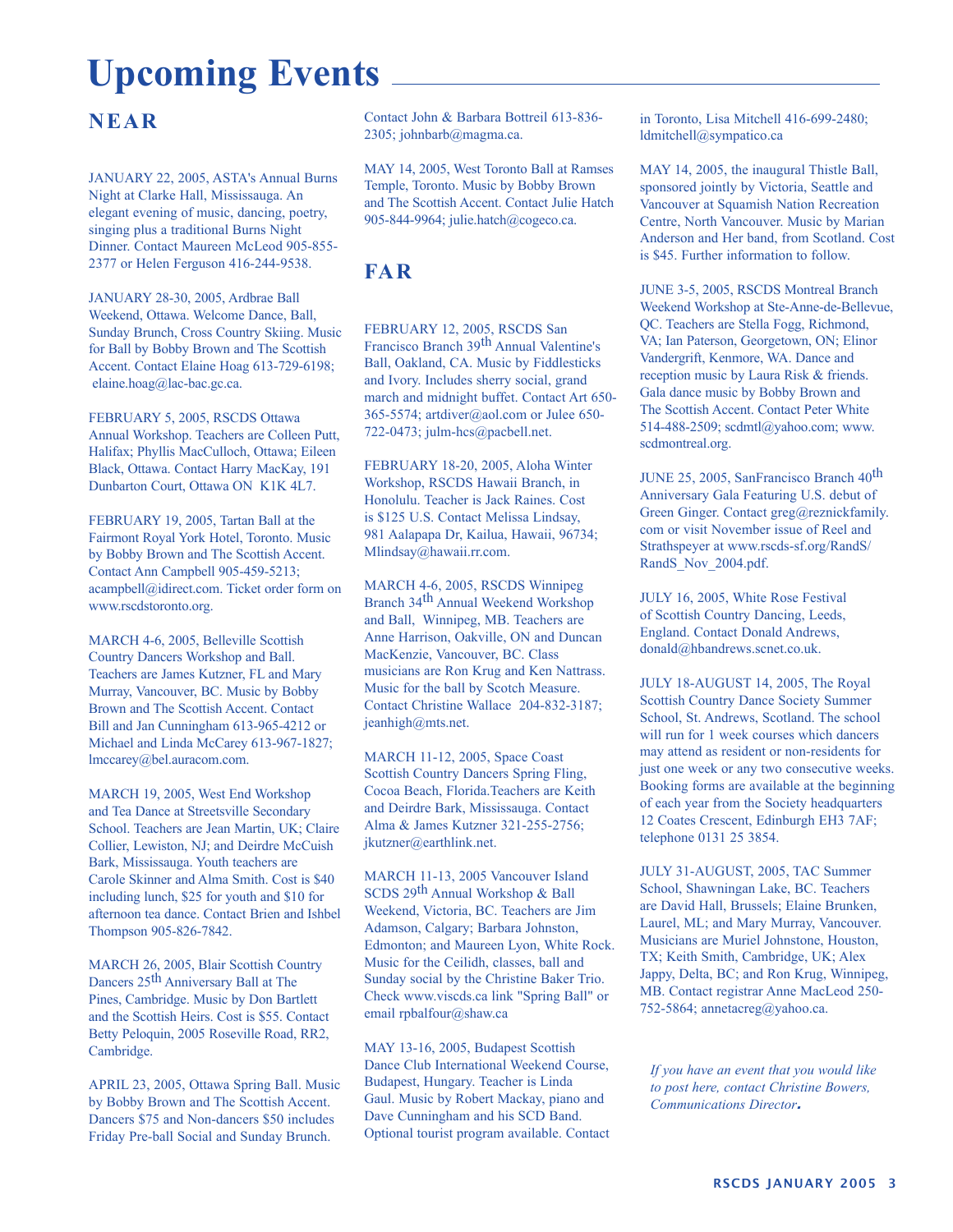# **Upcoming Events**

### **NEAR**

JANUARY 22, 2005, ASTA's Annual Burns Night at Clarke Hall, Mississauga. An elegant evening of music, dancing, poetry, singing plus a traditional Burns Night Dinner. Contact Maureen McLeod 905-855- 2377 or Helen Ferguson 416-244-9538.

JANUARY 28-30, 2005, Ardbrae Ball Weekend, Ottawa. Welcome Dance, Ball, Sunday Brunch, Cross Country Skiing. Music for Ball by Bobby Brown and The Scottish Accent. Contact Elaine Hoag 613-729-6198; elaine.hoag@lac-bac.gc.ca.

FEBRUARY 5, 2005, RSCDS Ottawa Annual Workshop. Teachers are Colleen Putt, Halifax; Phyllis MacCulloch, Ottawa; Eileen Black, Ottawa. Contact Harry MacKay, 191 Dunbarton Court, Ottawa ON K1K 4L7.

FEBRUARY 19, 2005, Tartan Ball at the Fairmont Royal York Hotel, Toronto. Music by Bobby Brown and The Scottish Accent. Contact Ann Campbell 905-459-5213; acampbell@idirect.com. Ticket order form on www.rscdstoronto.org.

MARCH 4-6, 2005, Belleville Scottish Country Dancers Workshop and Ball. Teachers are James Kutzner, FL and Mary Murray, Vancouver, BC. Music by Bobby Brown and The Scottish Accent. Contact Bill and Jan Cunningham 613-965-4212 or Michael and Linda McCarey 613-967-1827; lmccarey@bel.auracom.com.

MARCH 19, 2005, West End Workshop and Tea Dance at Streetsville Secondary School. Teachers are Jean Martin, UK; Claire Collier, Lewiston, NJ; and Deirdre McCuish Bark, Mississauga. Youth teachers are Carole Skinner and Alma Smith. Cost is \$40 including lunch, \$25 for youth and \$10 for afternoon tea dance. Contact Brien and Ishbel Thompson 905-826-7842.

MARCH 26, 2005, Blair Scottish Country Dancers 25<sup>th</sup> Anniversary Ball at The Pines, Cambridge. Music by Don Bartlett and the Scottish Heirs. Cost is \$55. Contact Betty Peloquin, 2005 Roseville Road, RR2, Cambridge.

APRIL 23, 2005, Ottawa Spring Ball. Music by Bobby Brown and The Scottish Accent. Dancers \$75 and Non-dancers \$50 includes Friday Pre-ball Social and Sunday Brunch.

Contact John & Barbara Bottreil 613-836- 2305; johnbarb@magma.ca.

MAY 14, 2005, West Toronto Ball at Ramses Temple, Toronto. Music by Bobby Brown and The Scottish Accent. Contact Julie Hatch 905-844-9964; julie.hatch@cogeco.ca.

### **FAR**

FEBRUARY 12, 2005, RSCDS San Francisco Branch 39th Annual Valentine's Ball, Oakland, CA. Music by Fiddlesticks and Ivory. Includes sherry social, grand march and midnight buffet. Contact Art 650- 365-5574; artdiver@aol.com or Julee 650- 722-0473; julm-hcs@pacbell.net.

FEBRUARY 18-20, 2005, Aloha Winter Workshop, RSCDS Hawaii Branch, in Honolulu. Teacher is Jack Raines. Cost is \$125 U.S. Contact Melissa Lindsay, 981 Aalapapa Dr, Kailua, Hawaii, 96734; Mlindsay@hawaii.rr.com.

MARCH 4-6, 2005, RSCDS Winnipeg Branch 34th Annual Weekend Workshop and Ball, Winnipeg, MB. Teachers are Anne Harrison, Oakville, ON and Duncan MacKenzie, Vancouver, BC. Class musicians are Ron Krug and Ken Nattrass. Music for the ball by Scotch Measure. Contact Christine Wallace 204-832-3187; jeanhigh@mts.net.

MARCH 11-12, 2005, Space Coast Scottish Country Dancers Spring Fling, Cocoa Beach, Florida.Teachers are Keith and Deirdre Bark, Mississauga. Contact Alma & James Kutzner 321-255-2756; jkutzner@earthlink.net.

MARCH 11-13, 2005 Vancouver Island SCDS 29th Annual Workshop & Ball Weekend, Victoria, BC. Teachers are Jim Adamson, Calgary; Barbara Johnston, Edmonton; and Maureen Lyon, White Rock. Music for the Ceilidh, classes, ball and Sunday social by the Christine Baker Trio. Check www.viscds.ca link "Spring Ball" or email rpbalfour@shaw.ca

MAY 13-16, 2005, Budapest Scottish Dance Club International Weekend Course, Budapest, Hungary. Teacher is Linda Gaul. Music by Robert Mackay, piano and Dave Cunningham and his SCD Band. Optional tourist program available. Contact

in Toronto, Lisa Mitchell 416-699-2480; ldmitchell@sympatico.ca

MAY 14, 2005, the inaugural Thistle Ball, sponsored jointly by Victoria, Seattle and Vancouver at Squamish Nation Recreation Centre, North Vancouver. Music by Marian Anderson and Her band, from Scotland. Cost is \$45. Further information to follow.

JUNE 3-5, 2005, RSCDS Montreal Branch Weekend Workshop at Ste-Anne-de-Bellevue, QC. Teachers are Stella Fogg, Richmond, VA; Ian Paterson, Georgetown, ON; Elinor Vandergrift, Kenmore, WA. Dance and reception music by Laura Risk & friends. Gala dance music by Bobby Brown and The Scottish Accent. Contact Peter White 514-488-2509; scdmtl@yahoo.com; www. scdmontreal.org.

JUNE 25, 2005, SanFrancisco Branch 40th Anniversary Gala Featuring U.S. debut of Green Ginger. Contact greg@reznickfamily. com or visit November issue of Reel and Strathspeyer at www.rscds-sf.org/RandS/ RandS\_Nov\_2004.pdf.

JULY 16, 2005, White Rose Festival of Scottish Country Dancing, Leeds, England. Contact Donald Andrews, donald@hbandrews.scnet.co.uk.

JULY 18-AUGUST 14, 2005, The Royal Scottish Country Dance Society Summer School, St. Andrews, Scotland. The school will run for 1 week courses which dancers may attend as resident or non-residents for just one week or any two consecutive weeks. Booking forms are available at the beginning of each year from the Society headquarters 12 Coates Crescent, Edinburgh EH3 7AF; telephone 0131 25 3854.

JULY 31-AUGUST, 2005, TAC Summer School, Shawningan Lake, BC. Teachers are David Hall, Brussels; Elaine Brunken, Laurel, ML; and Mary Murray, Vancouver. Musicians are Muriel Johnstone, Houston, TX; Keith Smith, Cambridge, UK; Alex Jappy, Delta, BC; and Ron Krug, Winnipeg, MB. Contact registrar Anne MacLeod 250- 752-5864; annetacreg@yahoo.ca.

*If you have an event that you would like to post here, contact Christine Bowers, Communications Director*.